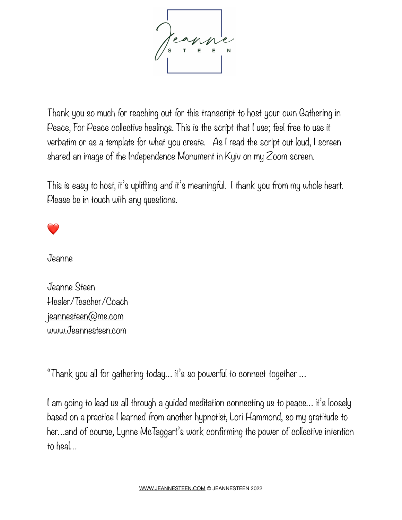

Thank you so much for reaching out for this transcript to host your own Gathering in Peace, For Peace collective healings. This is the script that I use; feel free to use it verbatim or as a template for what you create. As I read the script out loud, I screen shared an image of the Independence Monument in Kyiv on my Zoom screen.

This is easy to host, it's uplifting and it's meaningful. I thank you from my whole heart. Please be in touch with any questions.

❤

Jeanne

Jeanne Steen Healer/Teacher/Coach [jeannesteen@me.com](mailto:jeannesteen@me.com) www.Jeannesteen.com

"Thank you all for gathering today… it's so powerful to connect together …

I am going to lead us all through a guided meditation connecting us to peace... it's loosely based on a practice I learned from another hypnotist, Lori Hammond, so my gratitude to her…and of course, Lynne McTaggart's work confirming the power of collective intention to heal…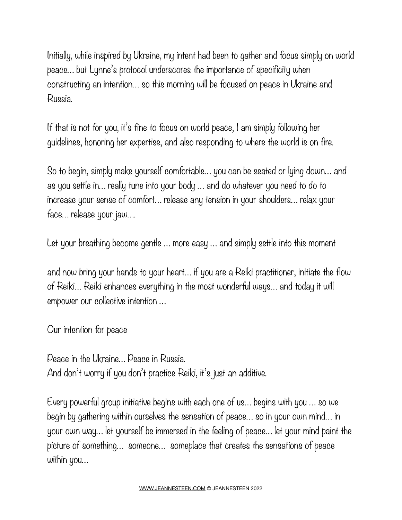Initially, while inspired by Ukraine, my intent had been to gather and focus simply on world peace… but Lynne's protocol underscores the importance of specificity when constructing an intention… so this morning will be focused on peace in Ukraine and Russia.

If that is not for you, it's fine to focus on world peace, I am simply following her guidelines, honoring her expertise, and also responding to where the world is on fire.

So to begin, simply make yourself comfortable… you can be seated or lying down… and as you settle in… really tune into your body … and do whatever you need to do to increase your sense of comfort… release any tension in your shoulders… relax your face… release your jaw….

Let your breathing become gentle ... more easy ... and simply settle into this moment

and now bring your hands to your heart… if you are a Reiki practitioner, initiate the flow of Reiki… Reiki enhances everything in the most wonderful ways… and today it will empower our collective intention …

Our intention for peace

Peace in the Ukraine… Peace in Russia. And don't worry if you don't practice Reiki, it's just an additive.

Every powerful group initiative begins with each one of us… begins with you … so we begin by gathering within ourselves the sensation of peace… so in your own mind… in your own way… let yourself be immersed in the feeling of peace… let your mind paint the picture of something… someone… someplace that creates the sensations of peace within you…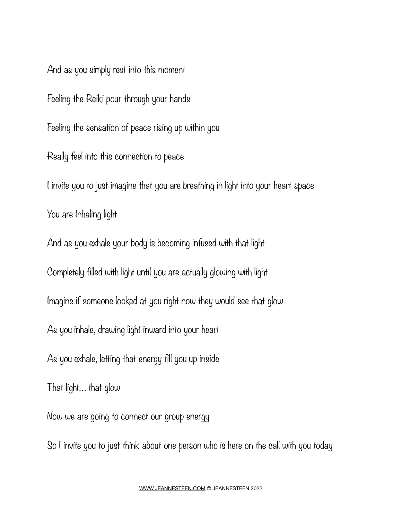And as you simply rest into this moment Feeling the Reiki pour through your hands Feeling the sensation of peace rising up within you Really feel into this connection to peace I invite you to just imagine that you are breathing in light into your heart space You are Inhaling light And as you exhale your body is becoming infused with that light Completely filled with light until you are actually glowing with light Imagine if someone looked at you right now they would see that glow As you inhale, drawing light inward into your heart As you exhale, letting that energy fill you up inside That light… that glow Now we are going to connect our group energy So I invite you to just think about one person who is here on the call with you today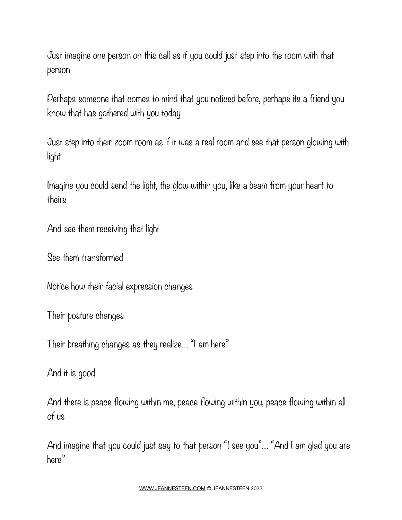Just imagine one person on this call as if you could just step into the room with that person

Perhaps someone that comes to mind that you noticed before, perhaps its a friend you know that has gathered with you today

Just step into their zoom room as if it was a real room and see that person glowing with light

Imagine you could send the light, the glow within you, like a beam from your heart to theirs

And see them receiving that light

See them transformed

Notice how their facial expression changes

Their posture changes

Their breathing changes as they realize… "I am here"

And it is good

And there is peace flowing within me, peace flowing within you, peace flowing within all of us

And imagine that you could just say to that person "I see you"… "And I am glad you are here"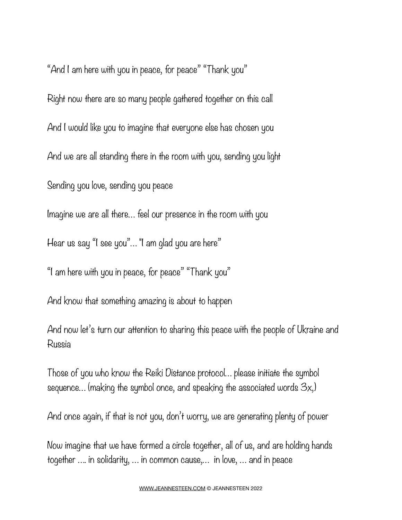"And I am here with you in peace, for peace" "Thank you" Right now there are so many people gathered together on this call And I would like you to imagine that everyone else has chosen you And we are all standing there in the room with you, sending you light Sending you love, sending you peace Imagine we are all there… feel our presence in the room with you Hear us say "I see you"… "I am glad you are here"

"I am here with you in peace, for peace" "Thank you"

And know that something amazing is about to happen

And now let's turn our attention to sharing this peace with the people of Ukraine and Russia

Those of you who know the Reiki Distance protocol… please initiate the symbol sequence… (making the symbol once, and speaking the associated words 3x,)

And once again, if that is not you, don't worry, we are generating plenty of power

Now imagine that we have formed a circle together, all of us, and are holding hands together …. in solidarity, … in common cause,… in love, … and in peace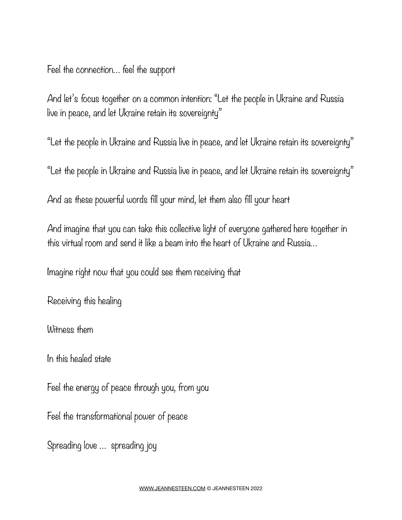Feel the connection… feel the support

And let's focus together on a common intention: "Let the people in Ukraine and Russia live in peace, and let Ukraine retain its sovereignty"

"Let the people in Ukraine and Russia live in peace, and let Ukraine retain its sovereignty"

"Let the people in Ukraine and Russia live in peace, and let Ukraine retain its sovereignty"

And as these powerful words fill your mind, let them also fill your heart

And imagine that you can take this collective light of everyone gathered here together in this virtual room and send it like a beam into the heart of Ukraine and Russia…

Imagine right now that you could see them receiving that

Receiving this healing

Witness them

In this healed state

Feel the energy of peace through you, from you

Feel the transformational power of peace

Spreading love … spreading joy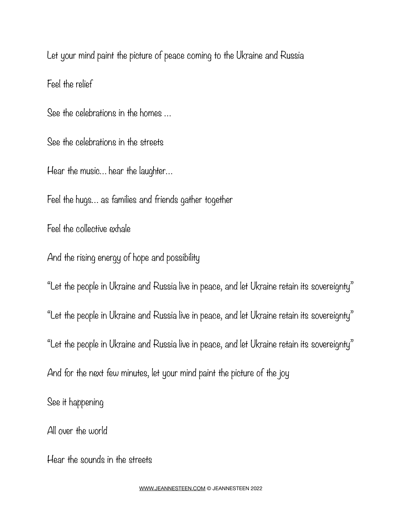Let your mind paint the picture of peace coming to the Ukraine and Russia Feel the relief

See the celebrations in the homes …

See the celebrations in the streets

Hear the music… hear the laughter…

Feel the hugs… as families and friends gather together

Feel the collective exhale

And the rising energy of hope and possibility

"Let the people in Ukraine and Russia live in peace, and let Ukraine retain its sovereignty"

"Let the people in Ukraine and Russia live in peace, and let Ukraine retain its sovereignty"

"Let the people in Ukraine and Russia live in peace, and let Ukraine retain its sovereignty"

And for the next few minutes, let your mind paint the picture of the joy

See it happening

All over the world

Hear the sounds in the streets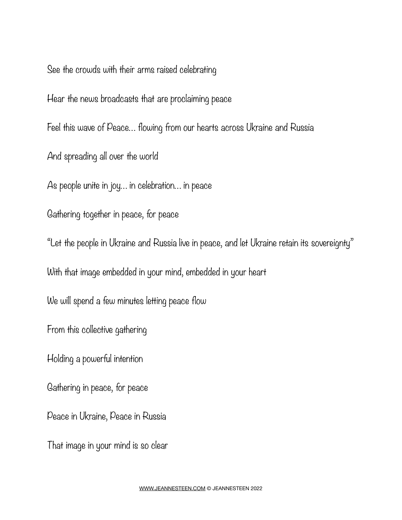See the crowds with their arms raised celebrating

Hear the news broadcasts that are proclaiming peace

Feel this wave of Peace… flowing from our hearts across Ukraine and Russia

And spreading all over the world

As people unite in joy… in celebration… in peace

Gathering together in peace, for peace

"Let the people in Ukraine and Russia live in peace, and let Ukraine retain its sovereignty"

With that image embedded in your mind, embedded in your heart

We will spend a few minutes letting peace flow

From this collective gathering

Holding a powerful intention

Gathering in peace, for peace

Peace in Ukraine, Peace in Russia

That image in your mind is so clear